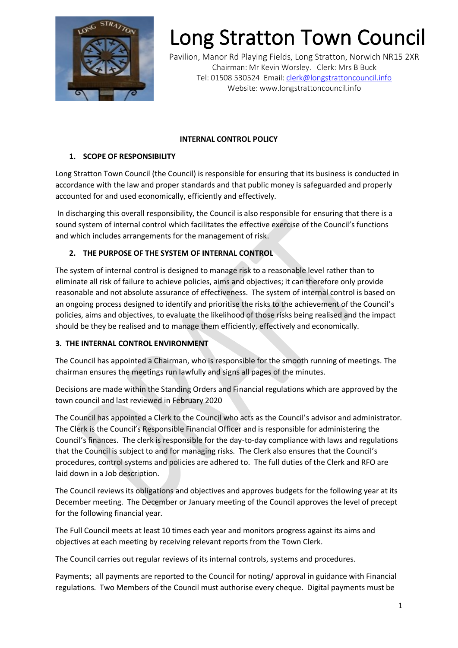

## Long Stratton Town Council

Pavilion, Manor Rd Playing Fields, Long Stratton, Norwich NR15 2XR Chairman: Mr Kevin Worsley. Clerk: Mrs B Buck Tel: 01508 530524 Email: [clerk@longstrattoncouncil.info](mailto:clerk@longstrattoncouncil.info) Website: www.longstrattoncouncil.info

#### **INTERNAL CONTROL POLICY**

### **1. SCOPE OF RESPONSIBILITY**

Long Stratton Town Council (the Council) is responsible for ensuring that its business is conducted in accordance with the law and proper standards and that public money is safeguarded and properly accounted for and used economically, efficiently and effectively.

In discharging this overall responsibility, the Council is also responsible for ensuring that there is a sound system of internal control which facilitates the effective exercise of the Council's functions and which includes arrangements for the management of risk.

### **2. THE PURPOSE OF THE SYSTEM OF INTERNAL CONTROL**

The system of internal control is designed to manage risk to a reasonable level rather than to eliminate all risk of failure to achieve policies, aims and objectives; it can therefore only provide reasonable and not absolute assurance of effectiveness. The system of internal control is based on an ongoing process designed to identify and prioritise the risks to the achievement of the Council's policies, aims and objectives, to evaluate the likelihood of those risks being realised and the impact should be they be realised and to manage them efficiently, effectively and economically.

#### **3. THE INTERNAL CONTROL ENVIRONMENT**

The Council has appointed a Chairman, who is responsible for the smooth running of meetings. The chairman ensures the meetings run lawfully and signs all pages of the minutes.

Decisions are made within the Standing Orders and Financial regulations which are approved by the town council and last reviewed in February 2020

The Council has appointed a Clerk to the Council who acts as the Council's advisor and administrator. The Clerk is the Council's Responsible Financial Officer and is responsible for administering the Council's finances. The clerk is responsible for the day-to-day compliance with laws and regulations that the Council is subject to and for managing risks. The Clerk also ensures that the Council's procedures, control systems and policies are adhered to. The full duties of the Clerk and RFO are laid down in a Job description.

The Council reviews its obligations and objectives and approves budgets for the following year at its December meeting. The December or January meeting of the Council approves the level of precept for the following financial year.

The Full Council meets at least 10 times each year and monitors progress against its aims and objectives at each meeting by receiving relevant reports from the Town Clerk.

The Council carries out regular reviews of its internal controls, systems and procedures.

Payments; all payments are reported to the Council for noting/ approval in guidance with Financial regulations. Two Members of the Council must authorise every cheque. Digital payments must be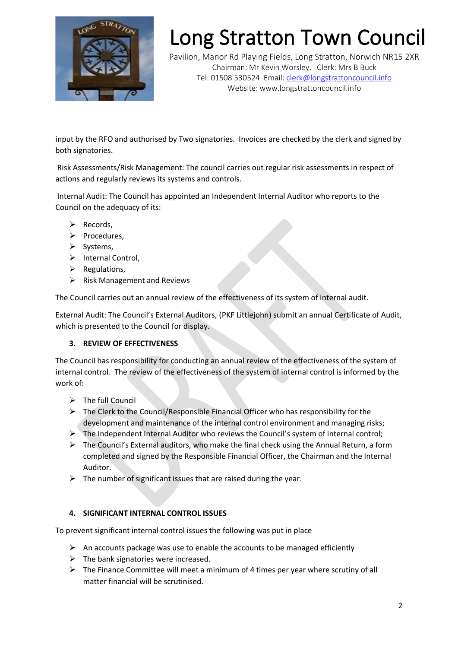

# Long Stratton Town Council

Pavilion, Manor Rd Playing Fields, Long Stratton, Norwich NR15 2XR Chairman: Mr Kevin Worsley. Clerk: Mrs B Buck Tel: 01508 530524 Email: [clerk@longstrattoncouncil.info](mailto:clerk@longstrattoncouncil.info) Website: www.longstrattoncouncil.info

input by the RFO and authorised by Two signatories. Invoices are checked by the clerk and signed by both signatories.

Risk Assessments/Risk Management: The council carries out regular risk assessments in respect of actions and regularly reviews its systems and controls.

Internal Audit: The Council has appointed an Independent Internal Auditor who reports to the Council on the adequacy of its:

- ➢ Records,
- ➢ Procedures,
- ➢ Systems,
- ➢ Internal Control,
- $\triangleright$  Regulations,
- $\triangleright$  Risk Management and Reviews

The Council carries out an annual review of the effectiveness of its system of internal audit.

External Audit: The Council's External Auditors, (PKF Littlejohn) submit an annual Certificate of Audit, which is presented to the Council for display.

#### **3. REVIEW OF EFFECTIVENESS**

The Council has responsibility for conducting an annual review of the effectiveness of the system of internal control. The review of the effectiveness of the system of internal control is informed by the work of:

- ➢ The full Council
- $\triangleright$  The Clerk to the Council/Responsible Financial Officer who has responsibility for the development and maintenance of the internal control environment and managing risks;
- $\triangleright$  The Independent Internal Auditor who reviews the Council's system of internal control;
- $\triangleright$  The Council's External auditors, who make the final check using the Annual Return, a form completed and signed by the Responsible Financial Officer, the Chairman and the Internal Auditor.
- $\triangleright$  The number of significant issues that are raised during the year.

#### **4. SIGNIFICANT INTERNAL CONTROL ISSUES**

To prevent significant internal control issues the following was put in place

- $\triangleright$  An accounts package was use to enable the accounts to be managed efficiently
- $\triangleright$  The bank signatories were increased.
- $\triangleright$  The Finance Committee will meet a minimum of 4 times per year where scrutiny of all matter financial will be scrutinised.